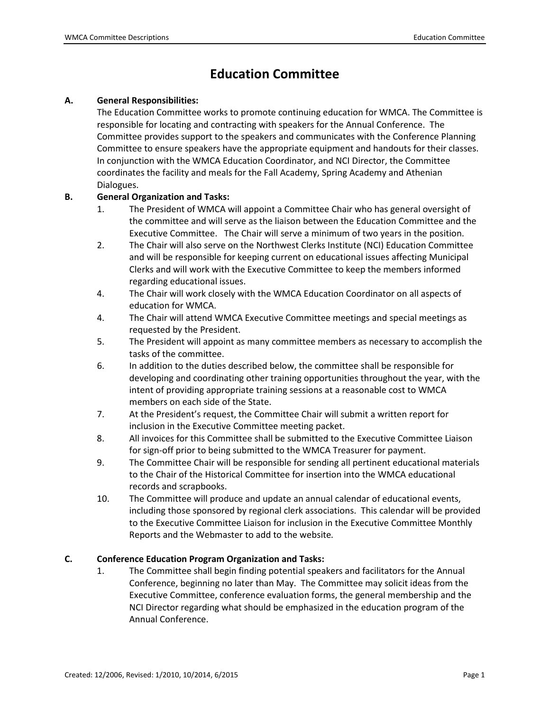# **Education Committee**

### **A. General Responsibilities:**

The Education Committee works to promote continuing education for WMCA. The Committee is responsible for locating and contracting with speakers for the Annual Conference. The Committee provides support to the speakers and communicates with the Conference Planning Committee to ensure speakers have the appropriate equipment and handouts for their classes. In conjunction with the WMCA Education Coordinator, and NCI Director, the Committee coordinates the facility and meals for the Fall Academy, Spring Academy and Athenian Dialogues.

### **B. General Organization and Tasks:**

- 1. The President of WMCA will appoint a Committee Chair who has general oversight of the committee and will serve as the liaison between the Education Committee and the Executive Committee. The Chair will serve a minimum of two years in the position.
- 2. The Chair will also serve on the Northwest Clerks Institute (NCI) Education Committee and will be responsible for keeping current on educational issues affecting Municipal Clerks and will work with the Executive Committee to keep the members informed regarding educational issues.
- 4. The Chair will work closely with the WMCA Education Coordinator on all aspects of education for WMCA.
- 4. The Chair will attend WMCA Executive Committee meetings and special meetings as requested by the President.
- 5. The President will appoint as many committee members as necessary to accomplish the tasks of the committee.
- 6. In addition to the duties described below, the committee shall be responsible for developing and coordinating other training opportunities throughout the year, with the intent of providing appropriate training sessions at a reasonable cost to WMCA members on each side of the State.
- 7. At the President's request, the Committee Chair will submit a written report for inclusion in the Executive Committee meeting packet.
- 8. All invoices for this Committee shall be submitted to the Executive Committee Liaison for sign-off prior to being submitted to the WMCA Treasurer for payment.
- 9. The Committee Chair will be responsible for sending all pertinent educational materials to the Chair of the Historical Committee for insertion into the WMCA educational records and scrapbooks.
- 10. The Committee will produce and update an annual calendar of educational events, including those sponsored by regional clerk associations. This calendar will be provided to the Executive Committee Liaison for inclusion in the Executive Committee Monthly Reports and the Webmaster to add to the website*.*

# **C. Conference Education Program Organization and Tasks:**

1. The Committee shall begin finding potential speakers and facilitators for the Annual Conference, beginning no later than May. The Committee may solicit ideas from the Executive Committee, conference evaluation forms, the general membership and the NCI Director regarding what should be emphasized in the education program of the Annual Conference.